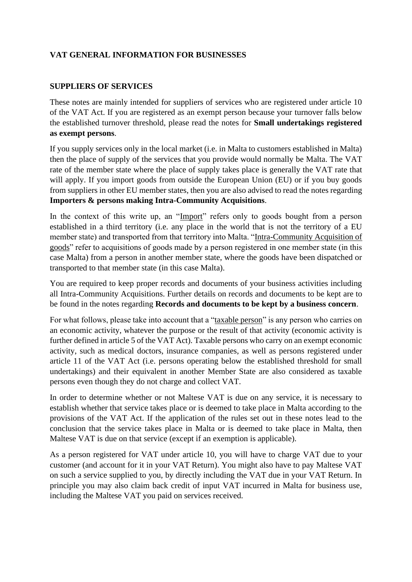# **VAT GENERAL INFORMATION FOR BUSINESSES**

### **SUPPLIERS OF SERVICES**

These notes are mainly intended for suppliers of services who are registered under article 10 of the VAT Act. If you are registered as an exempt person because your turnover falls below the established turnover threshold, please read the notes for **Small undertakings registered as exempt persons**.

If you supply services only in the local market (i.e. in Malta to customers established in Malta) then the place of supply of the services that you provide would normally be Malta. The VAT rate of the member state where the place of supply takes place is generally the VAT rate that will apply. If you import goods from outside the European Union (EU) or if you buy goods from suppliers in other EU member states, then you are also advised to read the notes regarding **Importers & persons making Intra-Community Acquisitions**.

In the context of this write up, an "Import" refers only to goods bought from a person established in a third territory (i.e. any place in the world that is not the territory of a EU member state) and transported from that territory into Malta. "Intra-Community Acquisition of goods" refer to acquisitions of goods made by a person registered in one member state (in this case Malta) from a person in another member state, where the goods have been dispatched or transported to that member state (in this case Malta).

You are required to keep proper records and documents of your business activities including all Intra-Community Acquisitions. Further details on records and documents to be kept are to be found in the notes regarding **Records and documents to be kept by a business concern**.

For what follows, please take into account that a "taxable person" is any person who carries on an economic activity, whatever the purpose or the result of that activity (economic activity is further defined in article 5 of the VAT Act). Taxable persons who carry on an exempt economic activity, such as medical doctors, insurance companies, as well as persons registered under article 11 of the VAT Act (i.e. persons operating below the established threshold for small undertakings) and their equivalent in another Member State are also considered as taxable persons even though they do not charge and collect VAT.

In order to determine whether or not Maltese VAT is due on any service, it is necessary to establish whether that service takes place or is deemed to take place in Malta according to the provisions of the VAT Act. If the application of the rules set out in these notes lead to the conclusion that the service takes place in Malta or is deemed to take place in Malta, then Maltese VAT is due on that service (except if an exemption is applicable).

As a person registered for VAT under article 10, you will have to charge VAT due to your customer (and account for it in your VAT Return). You might also have to pay Maltese VAT on such a service supplied to you, by directly including the VAT due in your VAT Return. In principle you may also claim back credit of input VAT incurred in Malta for business use, including the Maltese VAT you paid on services received.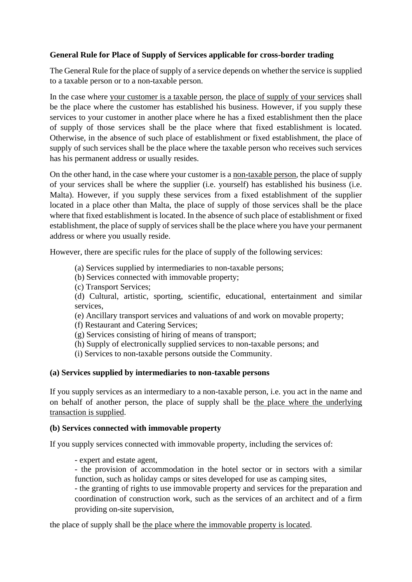## **General Rule for Place of Supply of Services applicable for cross-border trading**

The General Rule for the place of supply of a service depends on whether the service is supplied to a taxable person or to a non-taxable person.

In the case where your customer is a taxable person, the place of supply of your services shall be the place where the customer has established his business. However, if you supply these services to your customer in another place where he has a fixed establishment then the place of supply of those services shall be the place where that fixed establishment is located. Otherwise, in the absence of such place of establishment or fixed establishment, the place of supply of such services shall be the place where the taxable person who receives such services has his permanent address or usually resides.

On the other hand, in the case where your customer is a non-taxable person, the place of supply of your services shall be where the supplier (i.e. yourself) has established his business (i.e. Malta). However, if you supply these services from a fixed establishment of the supplier located in a place other than Malta, the place of supply of those services shall be the place where that fixed establishment is located. In the absence of such place of establishment or fixed establishment, the place of supply of services shall be the place where you have your permanent address or where you usually reside.

However, there are specific rules for the place of supply of the following services:

- (a) Services supplied by intermediaries to non-taxable persons;
- (b) Services connected with immovable property;
- (c) Transport Services;

(d) Cultural, artistic, sporting, scientific, educational, entertainment and similar services,

(e) Ancillary transport services and valuations of and work on movable property;

- (f) Restaurant and Catering Services;
- (g) Services consisting of hiring of means of transport;
- (h) Supply of electronically supplied services to non-taxable persons; and
- (i) Services to non-taxable persons outside the Community.

#### **(a) Services supplied by intermediaries to non-taxable persons**

If you supply services as an intermediary to a non-taxable person, i.e. you act in the name and on behalf of another person, the place of supply shall be the place where the underlying transaction is supplied.

#### **(b) Services connected with immovable property**

If you supply services connected with immovable property, including the services of:

- expert and estate agent,
- the provision of accommodation in the hotel sector or in sectors with a similar function, such as holiday camps or sites developed for use as camping sites,

- the granting of rights to use immovable property and services for the preparation and coordination of construction work, such as the services of an architect and of a firm providing on-site supervision,

the place of supply shall be the place where the immovable property is located.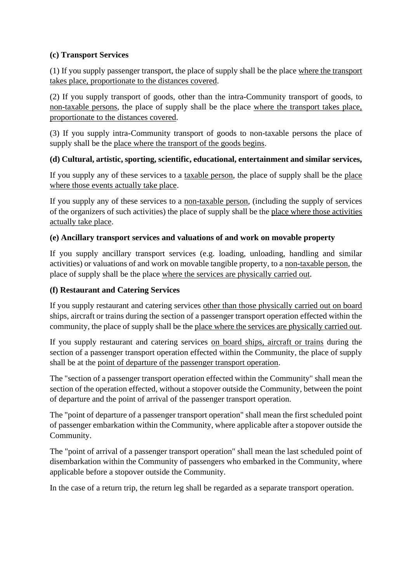# **(c) Transport Services**

(1) If you supply passenger transport, the place of supply shall be the place where the transport takes place, proportionate to the distances covered.

(2) If you supply transport of goods, other than the intra-Community transport of goods, to non-taxable persons, the place of supply shall be the place where the transport takes place, proportionate to the distances covered.

(3) If you supply intra-Community transport of goods to non-taxable persons the place of supply shall be the place where the transport of the goods begins.

## **(d) Cultural, artistic, sporting, scientific, educational, entertainment and similar services,**

If you supply any of these services to a taxable person, the place of supply shall be the place where those events actually take place.

If you supply any of these services to a non-taxable person, (including the supply of services of the organizers of such activities) the place of supply shall be the place where those activities actually take place.

### **(e) Ancillary transport services and valuations of and work on movable property**

If you supply ancillary transport services (e.g. loading, unloading, handling and similar activities) or valuations of and work on movable tangible property, to a non-taxable person, the place of supply shall be the place where the services are physically carried out.

## **(f) Restaurant and Catering Services**

If you supply restaurant and catering services other than those physically carried out on board ships, aircraft or trains during the section of a passenger transport operation effected within the community, the place of supply shall be the place where the services are physically carried out.

If you supply restaurant and catering services on board ships, aircraft or trains during the section of a passenger transport operation effected within the Community, the place of supply shall be at the point of departure of the passenger transport operation.

The "section of a passenger transport operation effected within the Community" shall mean the section of the operation effected, without a stopover outside the Community, between the point of departure and the point of arrival of the passenger transport operation.

The "point of departure of a passenger transport operation" shall mean the first scheduled point of passenger embarkation within the Community, where applicable after a stopover outside the Community.

The "point of arrival of a passenger transport operation" shall mean the last scheduled point of disembarkation within the Community of passengers who embarked in the Community, where applicable before a stopover outside the Community.

In the case of a return trip, the return leg shall be regarded as a separate transport operation.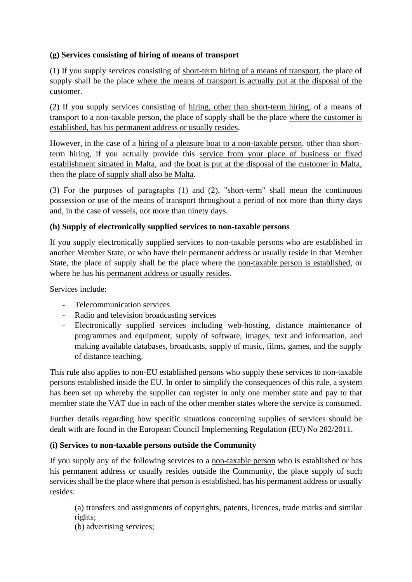# **(g) Services consisting of hiring of means of transport**

(1) If you supply services consisting of short-term hiring of a means of transport, the place of supply shall be the place where the means of transport is actually put at the disposal of the customer.

(2) If you supply services consisting of hiring, other than short-term hiring, of a means of transport to a non-taxable person, the place of supply shall be the place where the customer is established, has his permanent address or usually resides.

However, in the case of a hiring of a pleasure boat to a non-taxable person, other than shortterm hiring, if you actually provide this service from your place of business or fixed establishment situated in Malta, and the boat is put at the disposal of the customer in Malta, then the place of supply shall also be Malta.

(3) For the purposes of paragraphs (1) and (2), "short-term" shall mean the continuous possession or use of the means of transport throughout a period of not more than thirty days and, in the case of vessels, not more than ninety days.

### **(h) Supply of electronically supplied services to non-taxable persons**

If you supply electronically supplied services to non-taxable persons who are established in another Member State, or who have their permanent address or usually reside in that Member State, the place of supply shall be the place where the non-taxable person is established, or where he has his permanent address or usually resides.

Services include:

- Telecommunication services
- Radio and television broadcasting services
- Electronically supplied services including web-hosting, distance maintenance of programmes and equipment, supply of software, images, text and information, and making available databases, broadcasts, supply of music, films, games, and the supply of distance teaching.

This rule also applies to non-EU established persons who supply these services to non-taxable persons established inside the EU. In order to simplify the consequences of this rule, a system has been set up whereby the supplier can register in only one member state and pay to that member state the VAT due in each of the other member states where the service is consumed.

Further details regarding how specific situations concerning supplies of services should be dealt with are found in the European Council Implementing Regulation (EU) No 282/2011.

### **(i) Services to non-taxable persons outside the Community**

If you supply any of the following services to a non-taxable person who is established or has his permanent address or usually resides outside the Community, the place supply of such services shall be the place where that person is established, has his permanent address or usually resides:

(a) transfers and assignments of copyrights, patents, licences, trade marks and similar rights;

(b) advertising services;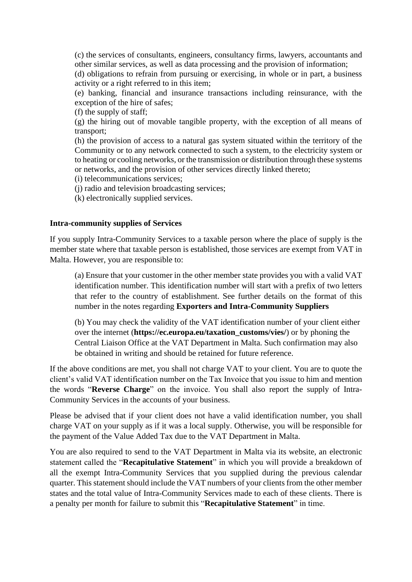(c) the services of consultants, engineers, consultancy firms, lawyers, accountants and other similar services, as well as data processing and the provision of information;

(d) obligations to refrain from pursuing or exercising, in whole or in part, a business activity or a right referred to in this item;

(e) banking, financial and insurance transactions including reinsurance, with the exception of the hire of safes;

(f) the supply of staff;

(g) the hiring out of movable tangible property, with the exception of all means of transport;

(h) the provision of access to a natural gas system situated within the territory of the Community or to any network connected to such a system, to the electricity system or to heating or cooling networks, or the transmission or distribution through these systems or networks, and the provision of other services directly linked thereto;

(i) telecommunications services;

(j) radio and television broadcasting services;

(k) electronically supplied services.

#### **Intra-community supplies of Services**

If you supply Intra-Community Services to a taxable person where the place of supply is the member state where that taxable person is established, those services are exempt from VAT in Malta. However, you are responsible to:

(a) Ensure that your customer in the other member state provides you with a valid VAT identification number. This identification number will start with a prefix of two letters that refer to the country of establishment. See further details on the format of this number in the notes regarding **Exporters and Intra-Community Suppliers**

(b) You may check the validity of the VAT identification number of your client either over the internet (**https://ec.europa.eu/taxation\_customs/vies/**) or by phoning the Central Liaison Office at the VAT Department in Malta. Such confirmation may also be obtained in writing and should be retained for future reference.

If the above conditions are met, you shall not charge VAT to your client. You are to quote the client's valid VAT identification number on the Tax Invoice that you issue to him and mention the words "**Reverse Charge**" on the invoice. You shall also report the supply of Intra-Community Services in the accounts of your business.

Please be advised that if your client does not have a valid identification number, you shall charge VAT on your supply as if it was a local supply. Otherwise, you will be responsible for the payment of the Value Added Tax due to the VAT Department in Malta.

You are also required to send to the VAT Department in Malta via its website, an electronic statement called the "**Recapitulative Statement**" in which you will provide a breakdown of all the exempt Intra-Community Services that you supplied during the previous calendar quarter. This statement should include the VAT numbers of your clients from the other member states and the total value of Intra-Community Services made to each of these clients. There is a penalty per month for failure to submit this "**Recapitulative Statement**" in time.